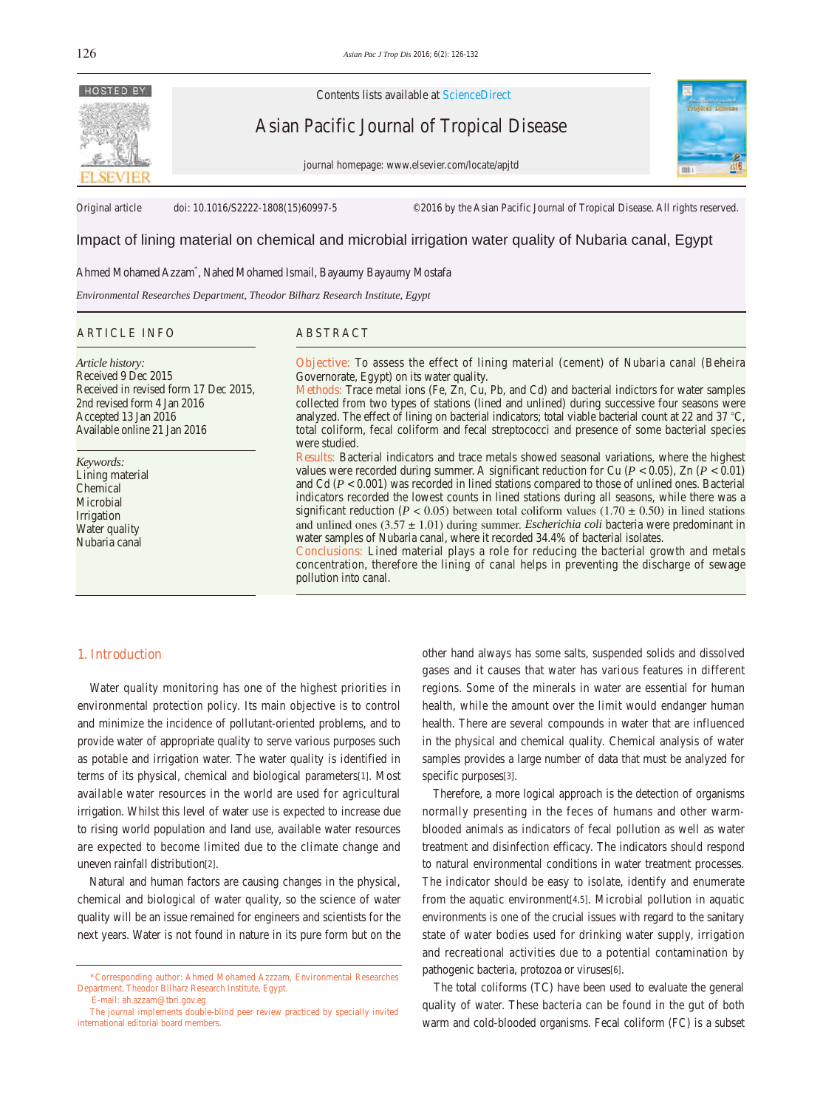

Contents lists available at ScienceDirect

Asian Pacific Journal of Tropical Disease

journal homepage: www.elsevier.com/locate/apjtd



Original article doi: 10.1016/S2222-1808(15)60997-5 ©2016 by the Asian Pacific Journal of Tropical Disease. All rights reserved.

# Impact of lining material on chemical and microbial irrigation water quality of Nubaria canal, Egypt

Ahmed Mohamed Azzam\* , Nahed Mohamed Ismail, Bayaumy Bayaumy Mostafa

*Environmental Researches Department, Theodor Bilharz Research Institute, Egypt*

## ARTICLE INFO ABSTRACT

*Article history:* Received 9 Dec 2015 Received in revised form 17 Dec 2015, 2nd revised form 4 Jan 2016 Accepted 13 Jan 2016 Available online 21 Jan 2016

*Keywords:* Lining material Chemical **Microbial** Irrigation Water quality Nubaria canal

**Objective:** To assess the effect of lining material (cement) of Nubaria canal (Beheira Governorate, Egypt) on its water quality.

**Methods:** Trace metal ions (Fe, Zn, Cu, Pb, and Cd) and bacterial indictors for water samples collected from two types of stations (lined and unlined) during successive four seasons were analyzed. The effect of lining on bacterial indicators; total viable bacterial count at 22 and 37 °C, total coliform, fecal coliform and fecal streptococci and presence of some bacterial species were studied.

**Results:** Bacterial indicators and trace metals showed seasonal variations, where the highest values were recorded during summer. A significant reduction for Cu ( $P < 0.05$ ), Zn ( $P < 0.01$ ) and Cd  $(P < 0.001)$  was recorded in lined stations compared to those of unlined ones. Bacterial indicators recorded the lowest counts in lined stations during all seasons, while there was a significant reduction ( $P < 0.05$ ) between total coliform values (1.70  $\pm$  0.50) in lined stations and unlined ones (3.57 ± 1.01) during summer. *Escherichia coli* bacteria were predominant in water samples of Nubaria canal, where it recorded 34.4% of bacterial isolates.

**Conclusions:** Lined material plays a role for reducing the bacterial growth and metals concentration, therefore the lining of canal helps in preventing the discharge of sewage pollution into canal.

## **1. Introduction**

 Water quality monitoring has one of the highest priorities in environmental protection policy. Its main objective is to control and minimize the incidence of pollutant-oriented problems, and to provide water of appropriate quality to serve various purposes such as potable and irrigation water. The water quality is identified in terms of its physical, chemical and biological parameters[1]. Most available water resources in the world are used for agricultural irrigation. Whilst this level of water use is expected to increase due to rising world population and land use, available water resources are expected to become limited due to the climate change and uneven rainfall distribution[2].

 Natural and human factors are causing changes in the physical, chemical and biological of water quality, so the science of water quality will be an issue remained for engineers and scientists for the next years. Water is not found in nature in its pure form but on the

other hand always has some salts, suspended solids and dissolved gases and it causes that water has various features in different regions. Some of the minerals in water are essential for human health, while the amount over the limit would endanger human health. There are several compounds in water that are influenced in the physical and chemical quality. Chemical analysis of water samples provides a large number of data that must be analyzed for specific purposes[3].

 Therefore, a more logical approach is the detection of organisms normally presenting in the feces of humans and other warmblooded animals as indicators of fecal pollution as well as water treatment and disinfection efficacy. The indicators should respond to natural environmental conditions in water treatment processes. The indicator should be easy to isolate, identify and enumerate from the aquatic environment[4,5]. Microbial pollution in aquatic environments is one of the crucial issues with regard to the sanitary state of water bodies used for drinking water supply, irrigation and recreational activities due to a potential contamination by pathogenic bacteria, protozoa or viruses[6].

 The total coliforms (TC) have been used to evaluate the general quality of water. These bacteria can be found in the gut of both warm and cold-blooded organisms. Fecal coliform (FC) is a subset

 <sup>\*</sup>Corresponding author: Ahmed Mohamed Azzzam, Environmental Researches Department, Theodor Bilharz Research Institute, Egypt. E-mail: ah.azzam@tbri.gov.eg

The journal implements double-blind peer review practiced by specially invited international editorial board members.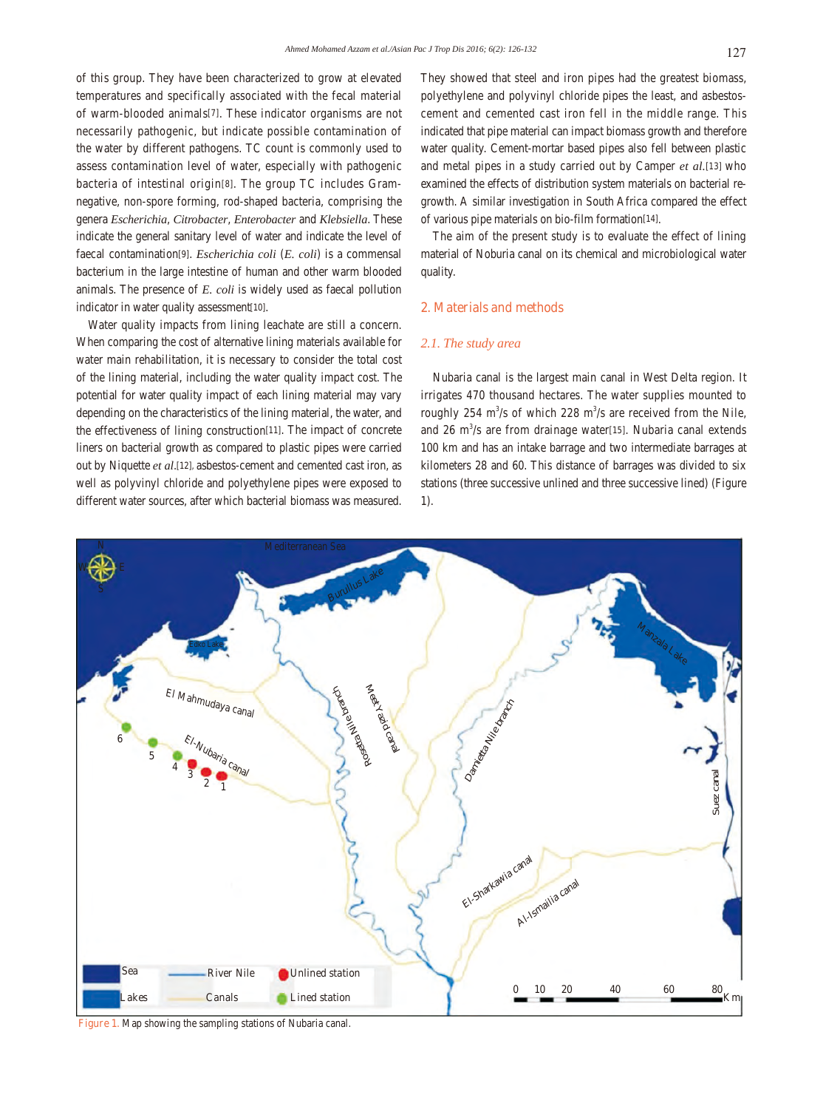of this group. They have been characterized to grow at elevated temperatures and specifically associated with the fecal material of warm-blooded animals[7]. These indicator organisms are not necessarily pathogenic, but indicate possible contamination of the water by different pathogens. TC count is commonly used to assess contamination level of water, especially with pathogenic bacteria of intestinal origin[8]. The group TC includes Gramnegative, non-spore forming, rod-shaped bacteria, comprising the genera *Escherichia*, *Citrobacter*, *Enterobacter* and *Klebsiella*. These indicate the general sanitary level of water and indicate the level of faecal contamination[9]. *Escherichia coli* (*E. coli*) is a commensal bacterium in the large intestine of human and other warm blooded animals. The presence of *E. coli* is widely used as faecal pollution indicator in water quality assessment[10].

 Water quality impacts from lining leachate are still a concern. When comparing the cost of alternative lining materials available for water main rehabilitation, it is necessary to consider the total cost of the lining material, including the water quality impact cost. The potential for water quality impact of each lining material may vary depending on the characteristics of the lining material, the water, and the effectiveness of lining construction[11]. The impact of concrete liners on bacterial growth as compared to plastic pipes were carried out by Niquette *et al*.[12], asbestos-cement and cemented cast iron, as well as polyvinyl chloride and polyethylene pipes were exposed to different water sources, after which bacterial biomass was measured.

They showed that steel and iron pipes had the greatest biomass, polyethylene and polyvinyl chloride pipes the least, and asbestoscement and cemented cast iron fell in the middle range. This indicated that pipe material can impact biomass growth and therefore water quality. Cement-mortar based pipes also fell between plastic and metal pipes in a study carried out by Camper *et al.*[13] who examined the effects of distribution system materials on bacterial regrowth. A similar investigation in South Africa compared the effect of various pipe materials on bio-film formation[14].

 The aim of the present study is to evaluate the effect of lining material of Noburia canal on its chemical and microbiological water quality.

## **2. Materials and methods**

# *2.1. The study area*

 Nubaria canal is the largest main canal in West Delta region. It irrigates 470 thousand hectares. The water supplies mounted to roughly 254  $\text{m}^3\text{/s}$  of which 228  $\text{m}^3\text{/s}$  are received from the Nile, and  $26 \text{ m}^3/\text{s}$  are from drainage water[15]. Nubaria canal extends 100 km and has an intake barrage and two intermediate barrages at kilometers 28 and 60. This distance of barrages was divided to six stations (three successive unlined and three successive lined) (Figure 1).



**Figure 1.** Map showing the sampling stations of Nubaria canal.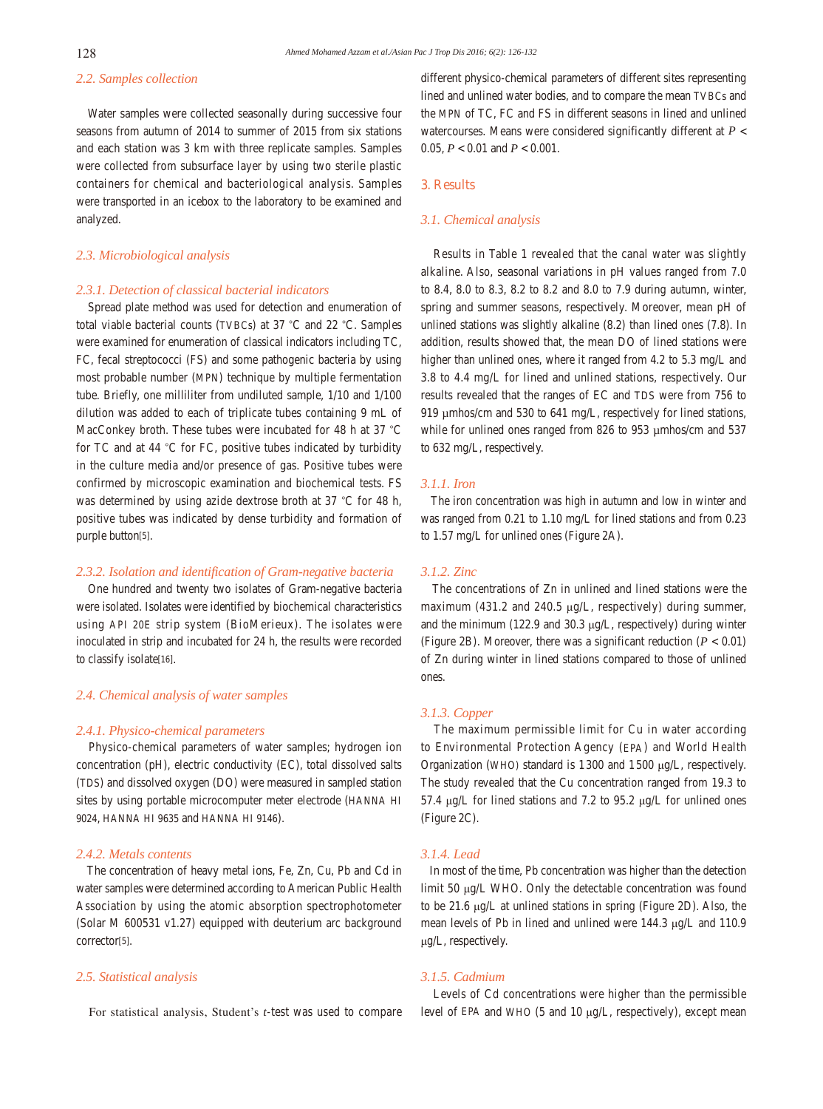## *2.2. Samples collection*

 Water samples were collected seasonally during successive four seasons from autumn of 2014 to summer of 2015 from six stations and each station was 3 km with three replicate samples. Samples were collected from subsurface layer by using two sterile plastic containers for chemical and bacteriological analysis. Samples were transported in an icebox to the laboratory to be examined and analyzed.

# *2.3. Microbiological analysis*

#### *2.3.1. Detection of classical bacterial indicators*

 Spread plate method was used for detection and enumeration of total viable bacterial counts (TVBCs) at 37 °C and 22 °C. Samples were examined for enumeration of classical indicators including TC, FC, fecal streptococci (FS) and some pathogenic bacteria by using most probable number (MPN) technique by multiple fermentation tube. Briefly, one milliliter from undiluted sample, 1/10 and 1/100 dilution was added to each of triplicate tubes containing 9 mL of MacConkey broth. These tubes were incubated for 48 h at 37 °C for TC and at 44 °C for FC, positive tubes indicated by turbidity in the culture media and/or presence of gas. Positive tubes were confirmed by microscopic examination and biochemical tests. FS was determined by using azide dextrose broth at 37 °C for 48 h, positive tubes was indicated by dense turbidity and formation of purple button[5].

## *2.3.2. Isolation and identification of Gram-negative bacteria*

 One hundred and twenty two isolates of Gram-negative bacteria were isolated. Isolates were identified by biochemical characteristics using API 20E strip system (BioMerieux). The isolates were inoculated in strip and incubated for 24 h, the results were recorded to classify isolate[16].

## *2.4. Chemical analysis of water samples*

#### *2.4.1. Physico-chemical parameters*

 Physico-chemical parameters of water samples; hydrogen ion concentration (pH), electric conductivity (EC), total dissolved salts (TDS) and dissolved oxygen (DO) were measured in sampled station sites by using portable microcomputer meter electrode (HANNA HI 9024, HANNA HI 9635 and HANNA HI 9146).

# *2.4.2. Metals contents*

 The concentration of heavy metal ions, Fe, Zn, Cu, Pb and Cd in water samples were determined according to American Public Health Association by using the atomic absorption spectrophotometer (Solar M 600531 v1.27) equipped with deuterium arc background corrector[5].

#### *2.5. Statistical analysis*

For statistical analysis, Student's *t*-test was used to compare

different physico-chemical parameters of different sites representing lined and unlined water bodies, and to compare the mean TVBCs and the MPN of TC, FC and FS in different seasons in lined and unlined watercourses. Means were considered significantly different at *P* < 0.05, *P* < 0.01 and *P* < 0.001.

## **3. Results**

#### *3.1. Chemical analysis*

 Results in Table 1 revealed that the canal water was slightly alkaline. Also, seasonal variations in pH values ranged from 7.0 to 8.4, 8.0 to 8.3, 8.2 to 8.2 and 8.0 to 7.9 during autumn, winter, spring and summer seasons, respectively. Moreover, mean pH of unlined stations was slightly alkaline (8.2) than lined ones (7.8). In addition, results showed that, the mean DO of lined stations were higher than unlined ones, where it ranged from 4.2 to 5.3 mg/L and 3.8 to 4.4 mg/L for lined and unlined stations, respectively. Our results revealed that the ranges of EC and TDS were from 756 to 919 µmhos/cm and 530 to 641 mg/L, respectively for lined stations, while for unlined ones ranged from 826 to 953 µmhos/cm and 537 to 632 mg/L, respectively.

# *3.1.1. Iron*

 The iron concentration was high in autumn and low in winter and was ranged from 0.21 to 1.10 mg/L for lined stations and from 0.23 to 1.57 mg/L for unlined ones (Figure 2A).

# *3.1.2. Zinc*

 The concentrations of Zn in unlined and lined stations were the maximum (431.2 and 240.5 μg/L, respectively) during summer, and the minimum (122.9 and 30.3 μg/L, respectively) during winter (Figure 2B). Moreover, there was a significant reduction  $(P < 0.01)$ ) of Zn during winter in lined stations compared to those of unlined ones.

#### *3.1.3. Copper*

 The maximum permissible limit for Cu in water according to Environmental Protection Agency (EPA) and World Health Organization (WHO) standard is 1300 and 1500 μg/L, respectively. The study revealed that the Cu concentration ranged from 19.3 to 57.4 μg/L for lined stations and 7.2 to 95.2 μg/L for unlined ones (Figure 2C).

## *3.1.4. Lead*

 In most of the time, Pb concentration was higher than the detection limit 50 μg/L WHO. Only the detectable concentration was found to be 21.6 μg/L at unlined stations in spring (Figure 2D). Also, the mean levels of Pb in lined and unlined were 144.3 μg/L and 110.9 μg/L, respectively.

## *3.1.5. Cadmium*

 Levels of Cd concentrations were higher than the permissible level of EPA and WHO (5 and 10 μg/L, respectively), except mean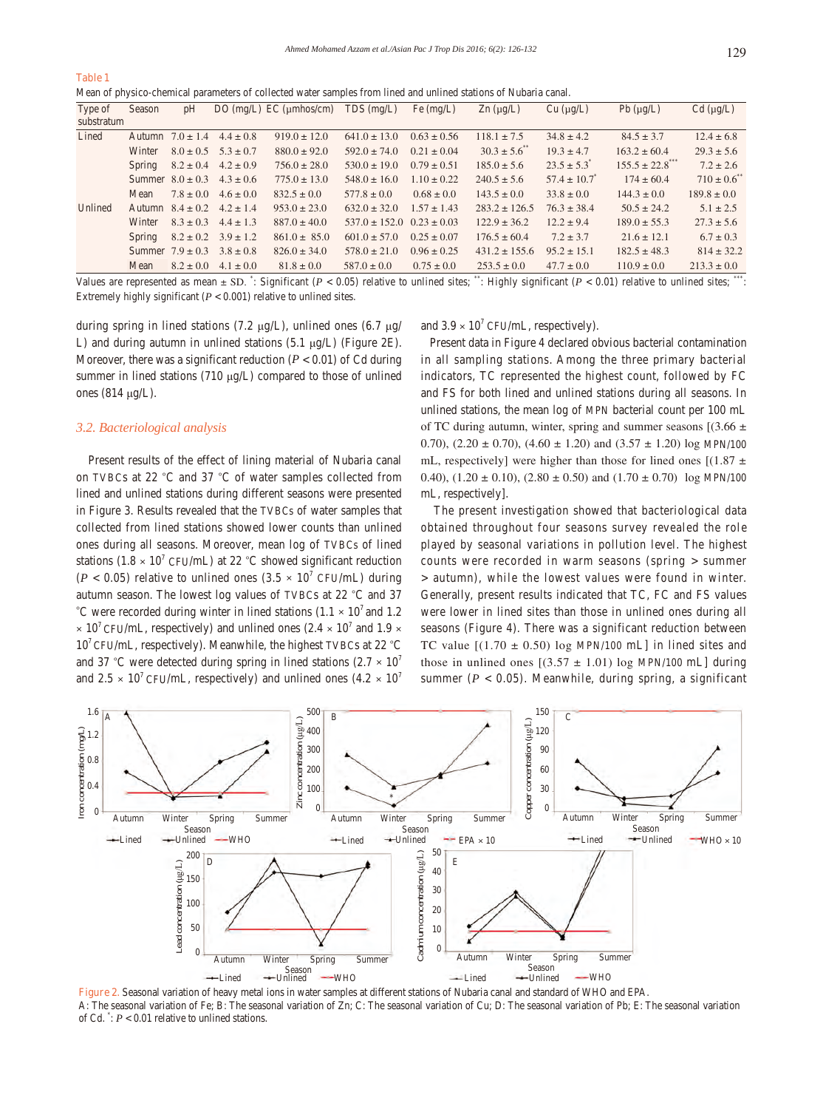#### **Table 1**

Mean of physico-chemical parameters of collected water samples from lined and unlined stations of Nubaria canal.

| Type of    | Season | pH                   |               | DO $(mg/L)$ EC $(\mu m \text{hos/cm})$ | $TDS$ (mg/L)                      | Fe $(mg/L)$     | $\text{Zn}$ (µg/L) | Cu (µg/L)               | $Pb(\mu g/L)$    | $Cd$ ( $\mu g/L$ ) |
|------------|--------|----------------------|---------------|----------------------------------------|-----------------------------------|-----------------|--------------------|-------------------------|------------------|--------------------|
| substratum |        |                      |               |                                        |                                   |                 |                    |                         |                  |                    |
| Lined      | Autumn | $7.0 \pm 1.4$        | $4.4 \pm 0.8$ | $919.0 \pm 12.0$                       | $641.0 \pm 13.0$                  | $0.63 \pm 0.56$ | $118.1 \pm 7.5$    | $34.8 \pm 4.2$          | $84.5 \pm 3.7$   | $12.4 \pm 6.8$     |
|            | Winter | $8.0 \pm 0.5$        | $5.3 \pm 0.7$ | $880.0 \pm 92.0$                       | $592.0 \pm 74.0$                  | $0.21 \pm 0.04$ | $30.3 \pm 5.6$     | $19.3 \pm 4.7$          | $163.2 \pm 60.4$ | $29.3 \pm 5.6$     |
|            | Spring | $8.2 \pm 0.4$        | $4.2 \pm 0.9$ | $756.0 \pm 28.0$                       | $530.0 \pm 19.0$                  | $0.79 \pm 0.51$ | $185.0 \pm 5.6$    | $23.5 \pm 5.3$          | $155.5 \pm 22.8$ | $7.2 \pm 2.6$      |
|            |        | Summer $8.0 \pm 0.3$ | $4.3 \pm 0.6$ | $775.0 \pm 13.0$                       | $548.0 \pm 16.0$                  | $1.10 \pm 0.22$ | $240.5 \pm 5.6$    | $57.4 \pm 10.7^{\circ}$ | $174 \pm 60.4$   | $710 \pm 0.6$      |
|            | Mean   | $7.8 \pm 0.0$        | $4.6 \pm 0.0$ | $832.5 \pm 0.0$                        | $577.8 \pm 0.0$                   | $0.68 \pm 0.0$  | $143.5 \pm 0.0$    | $33.8 \pm 0.0$          | $144.3 \pm 0.0$  | $189.8 \pm 0.0$    |
| Unlined    | Autumn | $8.4 \pm 0.2$        | $4.2 \pm 1.4$ | $953.0 \pm 23.0$                       | $632.0 \pm 32.0$                  | $1.57 \pm 1.43$ | $283.2 \pm 126.5$  | $76.3 \pm 38.4$         | $50.5 \pm 24.2$  | $5.1 \pm 2.5$      |
|            | Winter | $8.3 \pm 0.3$        | $4.4 \pm 1.3$ | $887.0 \pm 40.0$                       | $537.0 \pm 152.0$ $0.23 \pm 0.03$ |                 | $122.9 \pm 36.2$   | $12.2 \pm 9.4$          | $189.0 \pm 55.3$ | $27.3 \pm 5.6$     |
|            | Spring | $8.2 \pm 0.2$        | $3.9 \pm 1.2$ | $861.0 \pm 85.0$                       | $601.0 \pm 57.0$                  | $0.25 \pm 0.07$ | $176.5 \pm 60.4$   | $7.2 \pm 3.7$           | $21.6 \pm 12.1$  | $6.7 \pm 0.3$      |
|            |        | Summer $7.9 \pm 0.3$ | $3.8 \pm 0.8$ | $826.0 \pm 34.0$                       | $578.0 \pm 21.0$                  | $0.96 \pm 0.25$ | $431.2 \pm 155.6$  | $95.2 \pm 15.1$         | $182.5 \pm 48.3$ | $814 \pm 32.2$     |
|            | Mean   | $8.2 \pm 0.0$        | $4.1 \pm 0.0$ | $81.8 \pm 0.0$                         | $587.0 \pm 0.0$                   | $0.75 \pm 0.0$  | $253.5 \pm 0.0$    | $47.7 \pm 0.0$          | $110.9 \pm 0.0$  | $213.3 \pm 0.0$    |

Values are represented as mean  $\pm$  SD.  $\cdot$ : Significant ( $P < 0.05$ ) relative to unlined sites;  $\cdot$ \*\*: Highly significant ( $P < 0.01$ ) relative to unlined sites;  $\cdot$ \*\*: Extremely highly significant  $(P < 0.001)$  relative to unlined sites.

during spring in lined stations (7.2 μg/L), unlined ones (6.7 μg/ L) and during autumn in unlined stations (5.1 μg/L) (Figure 2E). Moreover, there was a significant reduction  $(P < 0.01)$  of Cd during summer in lined stations (710 μg/L) compared to those of unlined ones (814 μg/L).

# *3.2. Bacteriological analysis*

 Present results of the effect of lining material of Nubaria canal on TVBCs at 22 °C and 37 °C of water samples collected from lined and unlined stations during different seasons were presented in Figure 3. Results revealed that the TVBCs of water samples that collected from lined stations showed lower counts than unlined ones during all seasons. Moreover, mean log of TVBCs of lined stations (1.8  $\times$  10<sup>7</sup> CFU/mL) at 22 °C showed significant reduction  $(P < 0.05)$  relative to unlined ones  $(3.5 \times 10^7 \text{ CFU/mL})$  during autumn season. The lowest log values of TVBCs at 22 °C and 37 °C were recorded during winter in lined stations (1.1  $\times$  10<sup>7</sup> and 1.2  $\times$  10<sup>7</sup> CFU/mL, respectively) and unlined ones (2.4  $\times$  10<sup>7</sup> and 1.9  $\times$  $10<sup>7</sup>$  CFU/mL, respectively). Meanwhile, the highest TVBCs at 22  $^{\circ}$ C and 37 °C were detected during spring in lined stations (2.7  $\times$  10<sup>7</sup>) and  $2.5 \times 10^{7}$  CFU/mL, respectively) and unlined ones  $(4.2 \times 10^{7})$ 

and  $3.9 \times 10^7$  CFU/mL, respectively).

 Present data in Figure 4 declared obvious bacterial contamination in all sampling stations. Among the three primary bacterial indicators, TC represented the highest count, followed by FC and FS for both lined and unlined stations during all seasons. In unlined stations, the mean log of MPN bacterial count per 100 mL of TC during autumn, winter, spring and summer seasons  $[(3.66 \pm$ 0.70),  $(2.20 \pm 0.70)$ ,  $(4.60 \pm 1.20)$  and  $(3.57 \pm 1.20)$  log MPN/100 mL, respectively] were higher than those for lined ones  $[(1.87 \pm$ 0.40),  $(1.20 \pm 0.10)$ ,  $(2.80 \pm 0.50)$  and  $(1.70 \pm 0.70)$  log MPN/100 mL, respectively].

 The present investigation showed that bacteriological data obtained throughout four seasons survey revealed the role played by seasonal variations in pollution level. The highest counts were recorded in warm seasons (spring > summer > autumn), while the lowest values were found in winter. Generally, present results indicated that TC, FC and FS values were lower in lined sites than those in unlined ones during all seasons (Figure 4). There was a significant reduction between TC value  $[(1.70 \pm 0.50) \log \text{MPN}/100 \text{ mL}]$  in lined sites and those in unlined ones  $[(3.57 \pm 1.01) \log \text{MPN}/100 \text{ mL}]$  during summer ( $P < 0.05$ ). Meanwhile, during spring, a significant



**Figure 2.** Seasonal variation of heavy metal ions in water samples at different stations of Nubaria canal and standard of WHO and EPA. A: The seasonal variation of Fe; B: The seasonal variation of Zn; C: The seasonal variation of Cu; D: The seasonal variation of Pb; E: The seasonal variation of Cd.  $\degree$ :  $P < 0.01$  relative to unlined stations.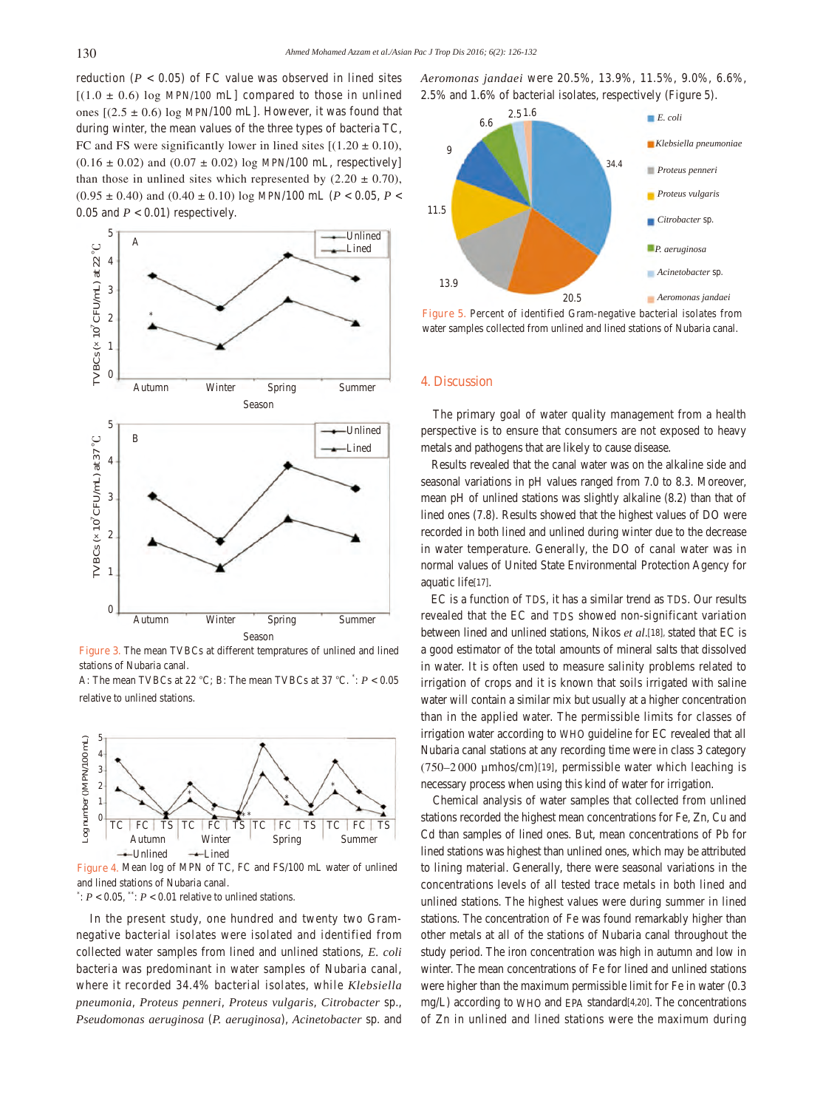reduction  $(P < 0.05)$  of FC value was observed in lined sites  $[(1.0 \pm 0.6) \log MPN/100 \text{ mL}]$  compared to those in unlined ones  $[(2.5 \pm 0.6) \log \text{MPN}/100 \text{ mL}]$ . However, it was found that during winter, the mean values of the three types of bacteria TC, FC and FS were significantly lower in lined sites  $[(1.20 \pm 0.10)]$ ,  $(0.16 \pm 0.02)$  and  $(0.07 \pm 0.02)$  log MPN/100 mL, respectively than those in unlined sites which represented by  $(2.20 \pm 0.70)$ ,  $(0.95 \pm 0.40)$  and  $(0.40 \pm 0.10)$  log MPN/100 mL ( $P < 0.05$ ,  $P <$ 0.05 and  $P < 0.01$ ) respectively.



**Figure 3.** The mean TVBCs at different tempratures of unlined and lined stations of Nubaria canal.

A: The mean TVBCs at 22 °C; B: The mean TVBCs at 37 °C. \* : *P* < 0.05 relative to unlined stations.



**Figure 4.** Mean log of MPN of TC, FC and FS/100 mL water of unlined and lined stations of Nubaria canal.

 $\stackrel{*}{\cdot}: P < 0.05, \stackrel{**}{\cdot}: P < 0.01$  relative to unlined stations.

 In the present study, one hundred and twenty two Gramnegative bacterial isolates were isolated and identified from collected water samples from lined and unlined stations, *E. coli* bacteria was predominant in water samples of Nubaria canal, where it recorded 34.4% bacterial isolates, while *Klebsiella pneumonia*, *Proteus penneri*, *Proteus vulgaris*, *Citrobacter* sp., *Pseudomonas aeruginosa* (*P. aeruginosa*), *Acinetobacter* sp. and *Aeromonas jandaei* were 20.5%, 13.9%, 11.5%, 9.0%, 6.6%, 2.5% and 1.6% of bacterial isolates, respectively (Figure 5).



**Figure 5.** Percent of identified Gram-negative bacterial isolates from water samples collected from unlined and lined stations of Nubaria canal.

#### **4. Discussion**

 The primary goal of water quality management from a health perspective is to ensure that consumers are not exposed to heavy metals and pathogens that are likely to cause disease.

 Results revealed that the canal water was on the alkaline side and seasonal variations in pH values ranged from 7.0 to 8.3. Moreover, mean pH of unlined stations was slightly alkaline (8.2) than that of lined ones (7.8). Results showed that the highest values of DO were recorded in both lined and unlined during winter due to the decrease in water temperature. Generally, the DO of canal water was in normal values of United State Environmental Protection Agency for aquatic life[17].

 EC is a function of TDS, it has a similar trend as TDS. Our results revealed that the EC and TDS showed non-significant variation between lined and unlined stations, Nikos *et al*.[18], stated that EC is a good estimator of the total amounts of mineral salts that dissolved in water. It is often used to measure salinity problems related to irrigation of crops and it is known that soils irrigated with saline water will contain a similar mix but usually at a higher concentration than in the applied water. The permissible limits for classes of irrigation water according to WHO guideline for EC revealed that all Nubaria canal stations at any recording time were in class 3 category  $(750-2000 \mu m$ hos/cm)[19], permissible water which leaching is necessary process when using this kind of water for irrigation.

 Chemical analysis of water samples that collected from unlined stations recorded the highest mean concentrations for Fe, Zn, Cu and Cd than samples of lined ones. But, mean concentrations of Pb for lined stations was highest than unlined ones, which may be attributed to lining material. Generally, there were seasonal variations in the concentrations levels of all tested trace metals in both lined and unlined stations. The highest values were during summer in lined stations. The concentration of Fe was found remarkably higher than other metals at all of the stations of Nubaria canal throughout the study period. The iron concentration was high in autumn and low in winter. The mean concentrations of Fe for lined and unlined stations were higher than the maximum permissible limit for Fe in water (0.3 mg/L) according to WHO and EPA standard[4,20]. The concentrations of Zn in unlined and lined stations were the maximum during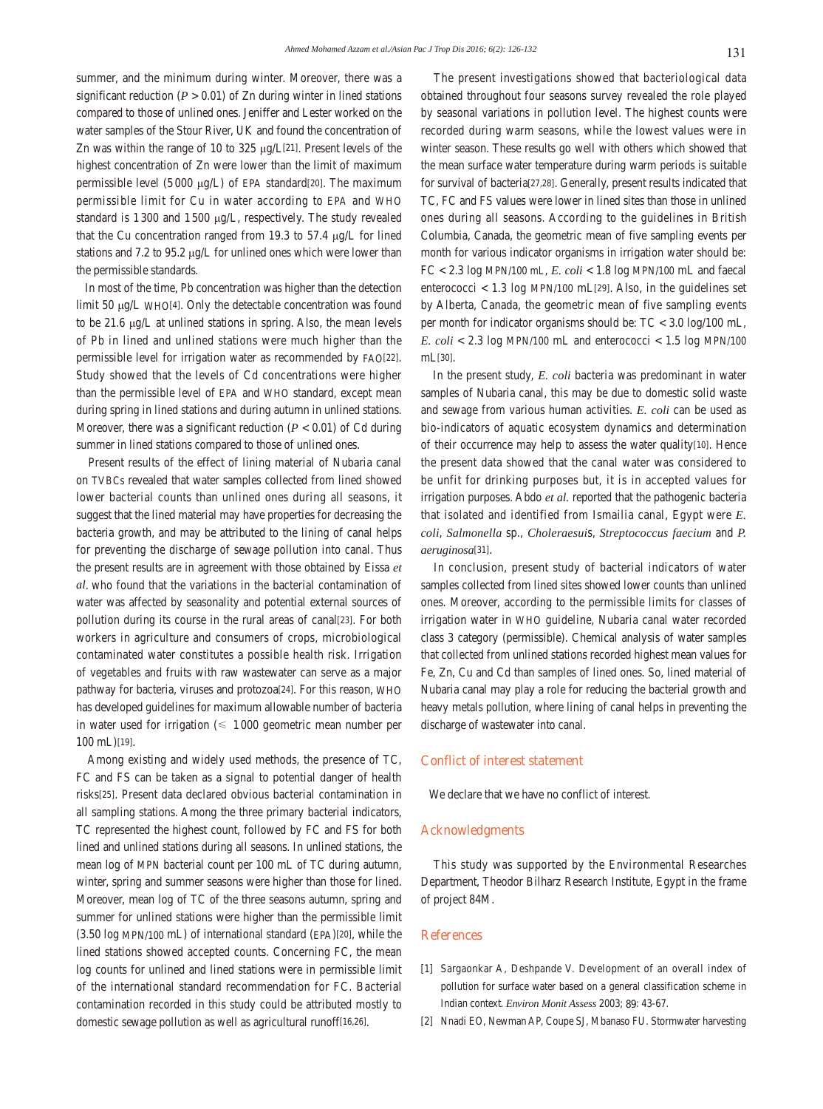summer, and the minimum during winter. Moreover, there was a significant reduction ( $P > 0.01$ ) of Zn during winter in lined stations compared to those of unlined ones. Jeniffer and Lester worked on the water samples of the Stour River, UK and found the concentration of Zn was within the range of 10 to 325 μg/L[21]. Present levels of the highest concentration of Zn were lower than the limit of maximum permissible level (5 000 μg/L) of EPA standard[20]. The maximum permissible limit for Cu in water according to EPA and WHO standard is 1300 and 1500 μg/L, respectively. The study revealed that the Cu concentration ranged from 19.3 to 57.4 μg/L for lined stations and 7.2 to 95.2 μg/L for unlined ones which were lower than the permissible standards.

 In most of the time, Pb concentration was higher than the detection limit 50 μg/L WHO[4]. Only the detectable concentration was found to be 21.6 μg/L at unlined stations in spring. Also, the mean levels of Pb in lined and unlined stations were much higher than the permissible level for irrigation water as recommended by FAO[22]. Study showed that the levels of Cd concentrations were higher than the permissible level of EPA and WHO standard, except mean during spring in lined stations and during autumn in unlined stations. Moreover, there was a significant reduction  $(P < 0.01)$  of Cd during summer in lined stations compared to those of unlined ones.

 Present results of the effect of lining material of Nubaria canal on TVBCs revealed that water samples collected from lined showed lower bacterial counts than unlined ones during all seasons, it suggest that the lined material may have properties for decreasing the bacteria growth, and may be attributed to the lining of canal helps for preventing the discharge of sewage pollution into canal. Thus the present results are in agreement with those obtained by Eissa *et al*. who found that the variations in the bacterial contamination of water was affected by seasonality and potential external sources of pollution during its course in the rural areas of canal[23]. For both workers in agriculture and consumers of crops, microbiological contaminated water constitutes a possible health risk. Irrigation of vegetables and fruits with raw wastewater can serve as a major pathway for bacteria, viruses and protozoa[24]. For this reason, WHO has developed guidelines for maximum allowable number of bacteria in water used for irrigation ( $\leq 1000$  geometric mean number per 100 mL)[19].

 Among existing and widely used methods, the presence of TC, FC and FS can be taken as a signal to potential danger of health risks[25]. Present data declared obvious bacterial contamination in all sampling stations. Among the three primary bacterial indicators, TC represented the highest count, followed by FC and FS for both lined and unlined stations during all seasons. In unlined stations, the mean log of MPN bacterial count per 100 mL of TC during autumn, winter, spring and summer seasons were higher than those for lined. Moreover, mean log of TC of the three seasons autumn, spring and summer for unlined stations were higher than the permissible limit (3.50 log MPN/100 mL) of international standard (EPA)[20], while the lined stations showed accepted counts. Concerning FC, the mean log counts for unlined and lined stations were in permissible limit of the international standard recommendation for FC. Bacterial contamination recorded in this study could be attributed mostly to domestic sewage pollution as well as agricultural runoff[16,26].

 The present investigations showed that bacteriological data obtained throughout four seasons survey revealed the role played by seasonal variations in pollution level. The highest counts were recorded during warm seasons, while the lowest values were in winter season. These results go well with others which showed that the mean surface water temperature during warm periods is suitable for survival of bacteria[27,28]. Generally, present results indicated that TC, FC and FS values were lower in lined sites than those in unlined ones during all seasons. According to the guidelines in British Columbia, Canada, the geometric mean of five sampling events per month for various indicator organisms in irrigation water should be: FC < 2.3 log MPN/100 mL, *E. coli* < 1.8 log MPN/100 mL and faecal enterococci  $< 1.3$  log MPN/100 mL $[29]$ . Also, in the guidelines set by Alberta, Canada, the geometric mean of five sampling events per month for indicator organisms should be: TC < 3.0 log/100 mL, *E. coli*  $\lt$  2.3 log MPN/100 mL and enterococci  $\lt$  1.5 log MPN/100 mL[30].

 In the present study, *E. coli* bacteria was predominant in water samples of Nubaria canal, this may be due to domestic solid waste and sewage from various human activities. *E. coli* can be used as bio-indicators of aquatic ecosystem dynamics and determination of their occurrence may help to assess the water quality[10]. Hence the present data showed that the canal water was considered to be unfit for drinking purposes but, it is in accepted values for irrigation purposes. Abdo *et al.* reported that the pathogenic bacteria that isolated and identified from Ismailia canal, Egypt were *E. coli*, *Salmonella* sp., *Choleraesui*s, *Streptococcus faecium* and *P. aeruginosa*[31].

 In conclusion, present study of bacterial indicators of water samples collected from lined sites showed lower counts than unlined ones. Moreover, according to the permissible limits for classes of irrigation water in WHO guideline, Nubaria canal water recorded class 3 category (permissible). Chemical analysis of water samples that collected from unlined stations recorded highest mean values for Fe, Zn, Cu and Cd than samples of lined ones. So, lined material of Nubaria canal may play a role for reducing the bacterial growth and heavy metals pollution, where lining of canal helps in preventing the discharge of wastewater into canal.

#### **Conflict of interest statement**

We declare that we have no conflict of interest.

#### **Acknowledgments**

 This study was supported by the Environmental Researches Department, Theodor Bilharz Research Institute, Egypt in the frame of project 84M.

#### **References**

- [1] Sargaonkar A, Deshpande V. Development of an overall index of pollution for surface water based on a general classification scheme in Indian context. *Environ Monit Assess* 2003; **89**: 43-67.
- [2] Nnadi EO, Newman AP, Coupe SJ, Mbanaso FU. Stormwater harvesting